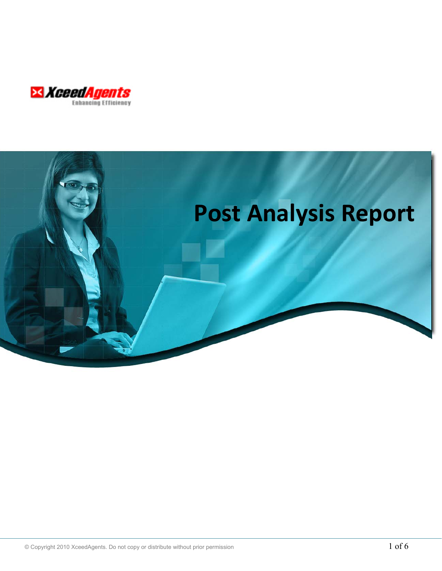

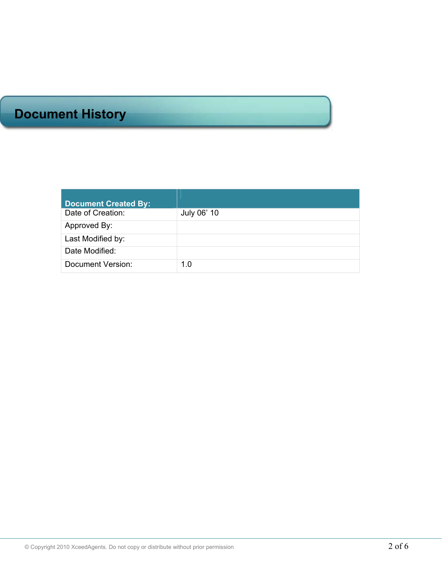# **Document History**

| <b>Document Created By:</b> |             |
|-----------------------------|-------------|
| Date of Creation:           | July 06' 10 |
| Approved By:                |             |
| Last Modified by:           |             |
| Date Modified:              |             |
| Document Version:           | 1.0         |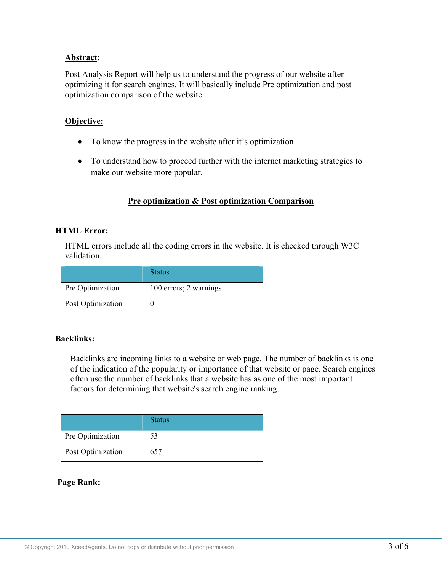# **Abstract**:

Post Analysis Report will help us to understand the progress of our website after optimizing it for search engines. It will basically include Pre optimization and post optimization comparison of the website.

# **Objective:**

- To know the progress in the website after it's optimization.
- To understand how to proceed further with the internet marketing strategies to make our website more popular.

# **Pre optimization & Post optimization Comparison**

## **HTML Error:**

HTML errors include all the coding errors in the website. It is checked through W3C validation.

|                   | <b>Status</b>          |
|-------------------|------------------------|
| Pre Optimization  | 100 errors; 2 warnings |
| Post Optimization |                        |

## **Backlinks:**

Backlinks are incoming links to a website or web page. The number of backlinks is one of the indication of the popularity or importance of that website or page. Search engines often use the number of backlinks that a website has as one of the most important factors for determining that website's search engine ranking.

|                   | <b>Status</b> |
|-------------------|---------------|
| Pre Optimization  | 53            |
| Post Optimization | 657           |

## **Page Rank:**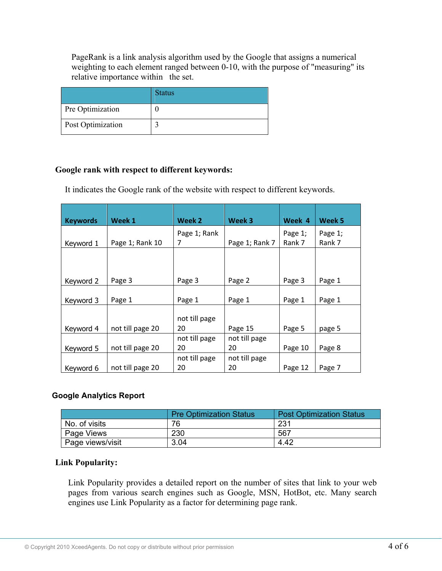PageRank is a link analysis algorithm used by the Google that assigns a numerical weighting to each element ranged between 0-10, with the purpose of "measuring" its relative importance within the set.

|                   | <b>Status</b> |
|-------------------|---------------|
| Pre Optimization  |               |
| Post Optimization |               |

## **Google rank with respect to different keywords:**

It indicates the Google rank of the website with respect to different keywords.

| <b>Keywords</b> | Week 1           | Week 2        | Week 3         | Week 4  | Week 5  |
|-----------------|------------------|---------------|----------------|---------|---------|
|                 |                  | Page 1; Rank  |                | Page 1; | Page 1; |
| Keyword 1       | Page 1; Rank 10  | 7             | Page 1; Rank 7 | Rank 7  | Rank 7  |
|                 |                  |               |                |         |         |
|                 |                  |               |                |         |         |
|                 |                  |               |                |         |         |
| Keyword 2       | Page 3           | Page 3        | Page 2         | Page 3  | Page 1  |
|                 |                  |               |                |         |         |
| Keyword 3       | Page 1           | Page 1        | Page 1         | Page 1  | Page 1  |
|                 |                  |               |                |         |         |
|                 |                  | not till page |                |         |         |
| Keyword 4       | not till page 20 | 20            | Page 15        | Page 5  | page 5  |
|                 |                  | not till page | not till page  |         |         |
| Keyword 5       | not till page 20 | 20            | 20             | Page 10 | Page 8  |
|                 |                  | not till page | not till page  |         |         |
| Keyword 6       | not till page 20 | 20            | 20             | Page 12 | Page 7  |

# **Google Analytics Report**

|                  | <b>Pre Optimization Status</b> | <b>Post Optimization Status</b> |  |  |
|------------------|--------------------------------|---------------------------------|--|--|
| No. of visits    | 76                             | 231                             |  |  |
| Page Views       | 230                            | 567                             |  |  |
| Page views/visit | 3.04                           | 4.42                            |  |  |

## **Link Popularity:**

Link Popularity provides a detailed report on the number of sites that link to your web pages from various search engines such as Google, MSN, HotBot, etc. Many search engines use Link Popularity as a factor for determining page rank.